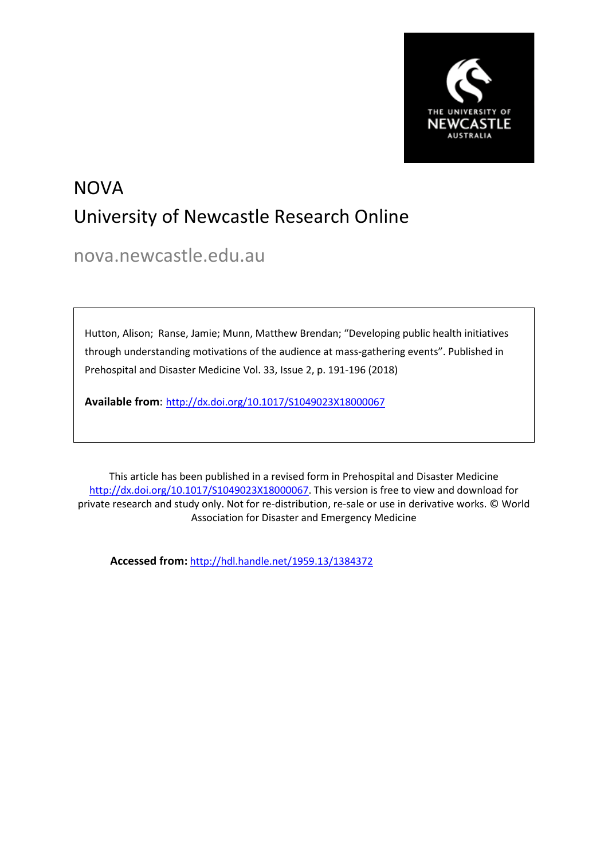

## NOVA University of Newcastle Research Online

nova.newcastle.edu.au

Hutton, Alison; Ranse, Jamie; Munn, Matthew Brendan; "Developing public health initiatives through understanding motivations of the audience at mass-gathering events". Published in Prehospital and Disaster Medicine Vol. 33, Issue 2, p. 191-196 (2018)

**Available from**: http://dx.doi.org/10.1017/S1049023X18000067

This article has been published in a revised form in Prehospital and Disaster Medicine http://dx.doi.org/10.1017/S1049023X18000067</u>. This version is free to view and download for private research and study only. Not for re-distribution, re-sale or use in derivative works. © World Association for Disaster and Emergency Medicine

**Accessed from:** http://hdl.handle.net/1959.13/1384372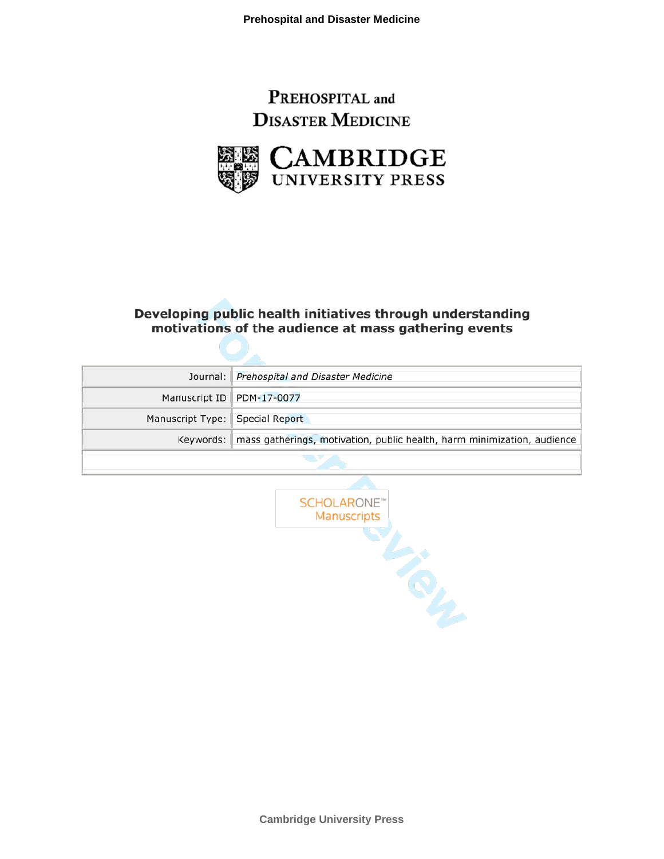## PREHOSPITAL and **DISASTER MEDICINE**



#### Developing public health initiatives through understanding motivations of the audience at mass gathering events

|                                                                                     | Journal: Prehospital and Disaster Medicine |  |
|-------------------------------------------------------------------------------------|--------------------------------------------|--|
|                                                                                     | Manuscript ID PDM-17-0077                  |  |
| Manuscript Type: Special Report                                                     |                                            |  |
| Keywords:   mass gatherings, motivation, public health, harm minimization, audience |                                            |  |
|                                                                                     |                                            |  |

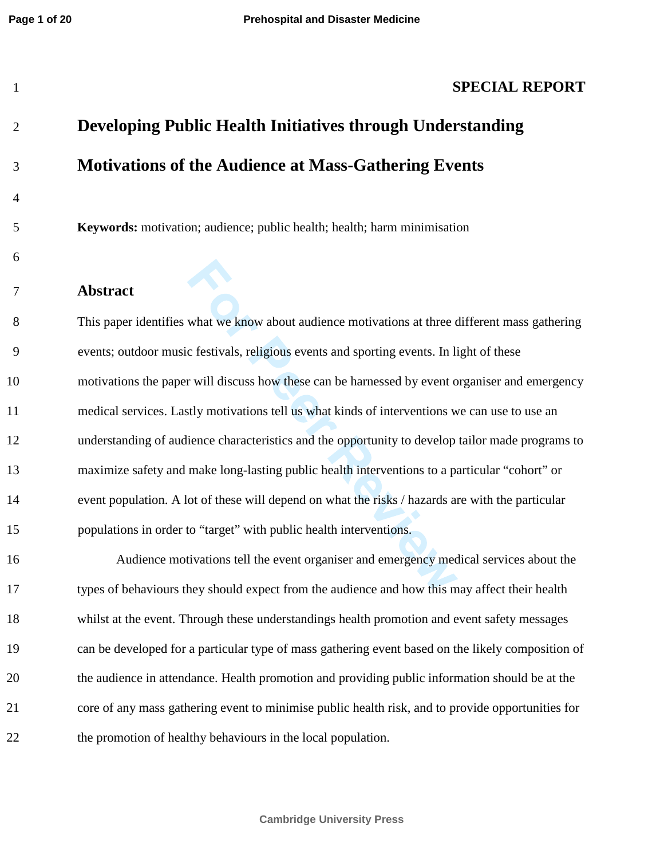#### **SPECIAL REPORT**

## **Developing Public Health Initiatives through Understanding Motivations of the Audience at Mass-Gathering Events**

**Keywords:** motivation; audience; public health; health; harm minimisation

#### **Abstract**

 This paper identifies what we know about audience motivations at three different mass gathering events; outdoor music festivals, religious events and sporting events. In light of these motivations the paper will discuss how these can be harnessed by event organiser and emergency medical services. Lastly motivations tell us what kinds of interventions we can use to use an understanding of audience characteristics and the opportunity to develop tailor made programs to maximize safety and make long-lasting public health interventions to a particular "cohort" or event population. A lot of these will depend on what the risks / hazards are with the particular populations in order to "target" with public health interventions.

 Audience motivations tell the event organiser and emergency medical services about the types of behaviours they should expect from the audience and how this may affect their health whilst at the event. Through these understandings health promotion and event safety messages can be developed for a particular type of mass gathering event based on the likely composition of the audience in attendance. Health promotion and providing public information should be at the core of any mass gathering event to minimise public health risk, and to provide opportunities for the promotion of healthy behaviours in the local population.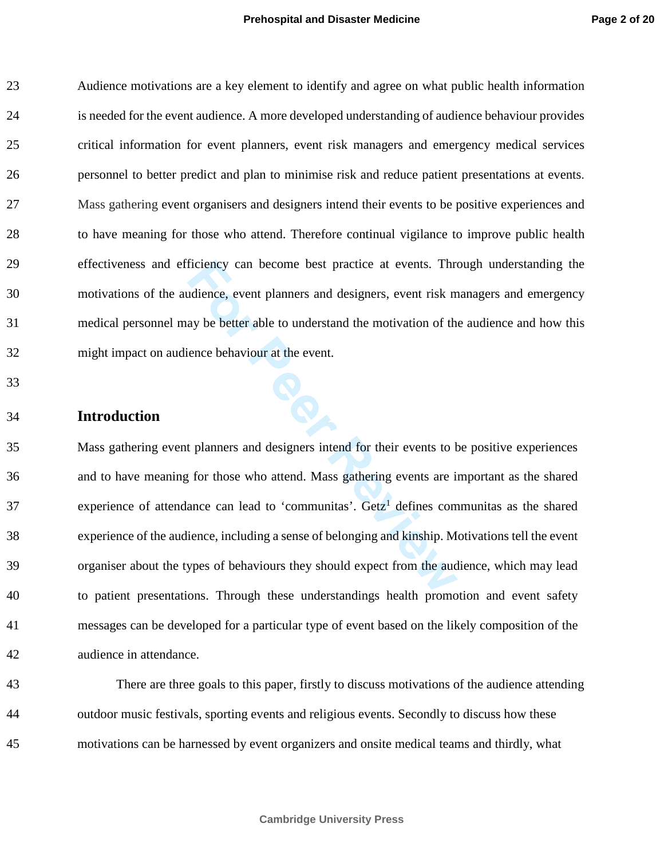Audience motivations are a key element to identify and agree on what public health information is needed for the event audience. A more developed understanding of audience behaviour provides critical information for event planners, event risk managers and emergency medical services personnel to better predict and plan to minimise risk and reduce patient presentations at events. Mass gathering event organisers and designers intend their events to be positive experiences and to have meaning for those who attend. Therefore continual vigilance to improve public health effectiveness and efficiency can become best practice at events. Through understanding the motivations of the audience, event planners and designers, event risk managers and emergency medical personnel may be better able to understand the motivation of the audience and how this might impact on audience behaviour at the event.

#### **Introduction**

 Mass gathering event planners and designers intend for their events to be positive experiences and to have meaning for those who attend. Mass gathering events are important as the shared experience of attendance can lead to 'communitas'.  $\text{Getz}^1$  defines communitas as the shared experience of the audience, including a sense of belonging and kinship. Motivations tell the event organiser about the types of behaviours they should expect from the audience, which may lead to patient presentations. Through these understandings health promotion and event safety messages can be developed for a particular type of event based on the likely composition of the audience in attendance.

 There are three goals to this paper, firstly to discuss motivations of the audience attending outdoor music festivals, sporting events and religious events. Secondly to discuss how these motivations can be harnessed by event organizers and onsite medical teams and thirdly, what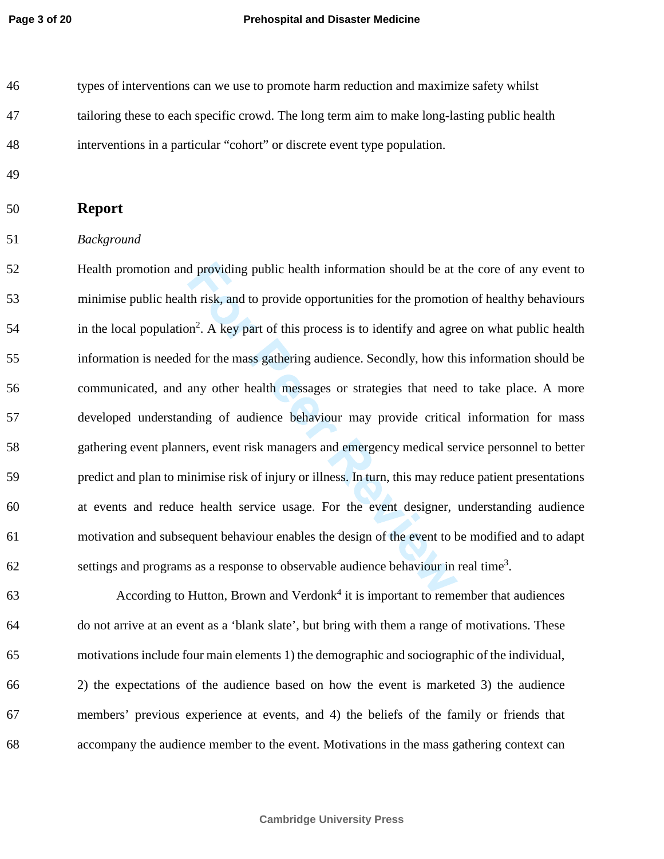types of interventions can we use to promote harm reduction and maximize safety whilst tailoring these to each specific crowd. The long term aim to make long-lasting public health interventions in a particular "cohort" or discrete event type population.

- 
- **Report**
- *Background*

 Health promotion and providing public health information should be at the core of any event to minimise public health risk, and to provide opportunities for the promotion of healthy behaviours  $\frac{1}{54}$  in the local population<sup>2</sup>. A key part of this process is to identify and agree on what public health information is needed for the mass gathering audience. Secondly, how this information should be communicated, and any other health messages or strategies that need to take place. A more developed understanding of audience behaviour may provide critical information for mass gathering event planners, event risk managers and emergency medical service personnel to better predict and plan to minimise risk of injury or illness. In turn, this may reduce patient presentations at events and reduce health service usage. For the event designer, understanding audience motivation and subsequent behaviour enables the design of the event to be modified and to adapt  $\delta$  settings and programs as a response to observable audience behaviour in real time<sup>3</sup>.

 According to Hutton, Brown and Verdonk<sup>4</sup> it is important to remember that audiences do not arrive at an event as a 'blank slate', but bring with them a range of motivations. These motivations include four main elements 1) the demographic and sociographic of the individual, 2) the expectations of the audience based on how the event is marketed 3) the audience members' previous experience at events, and 4) the beliefs of the family or friends that accompany the audience member to the event. Motivations in the mass gathering context can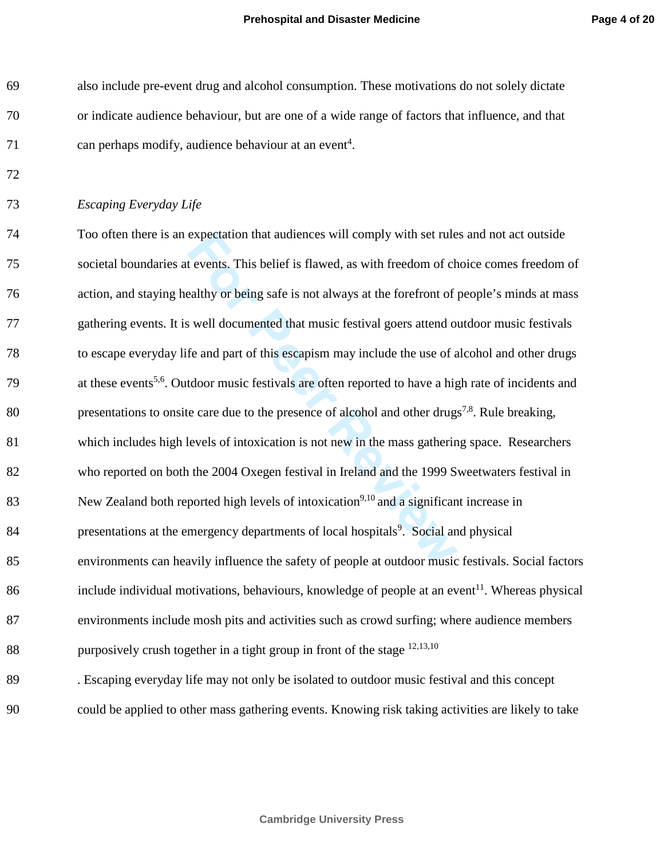also include pre-event drug and alcohol consumption. These motivations do not solely dictate or indicate audience behaviour, but are one of a wide range of factors that influence, and that 71 can perhaps modify, audience behaviour at an event<sup>4</sup>.

*Escaping Everyday Life* 

 Too often there is an expectation that audiences will comply with set rules and not act outside societal boundaries at events. This belief is flawed, as with freedom of choice comes freedom of action, and staying healthy or being safe is not always at the forefront of people's minds at mass gathering events. It is well documented that music festival goers attend outdoor music festivals to escape everyday life and part of this escapism may include the use of alcohol and other drugs 79 <sup>at these events<sup>5,6</sup>. Outdoor music festivals are often reported to have a high rate of incidents and</sup> 80 presentations to onsite care due to the presence of alcohol and other drugs<sup>7,8</sup>. Rule breaking, which includes high levels of intoxication is not new in the mass gathering space. Researchers who reported on both the 2004 Oxegen festival in Ireland and the 1999 Sweetwaters festival in New Zealand both reported high levels of intoxication<sup>9,10</sup> and a significant increase in presentations at the emergency departments of local hospitals<sup>9</sup>. Social and physical environments can heavily influence the safety of people at outdoor music festivals. Social factors include individual motivations, behaviours, knowledge of people at an event<sup>11</sup>. Whereas physical environments include mosh pits and activities such as crowd surfing; where audience members 88 purposively crush together in a tight group in front of the stage  $^{12,13,10}$ . Escaping everyday life may not only be isolated to outdoor music festival and this concept

could be applied to other mass gathering events. Knowing risk taking activities are likely to take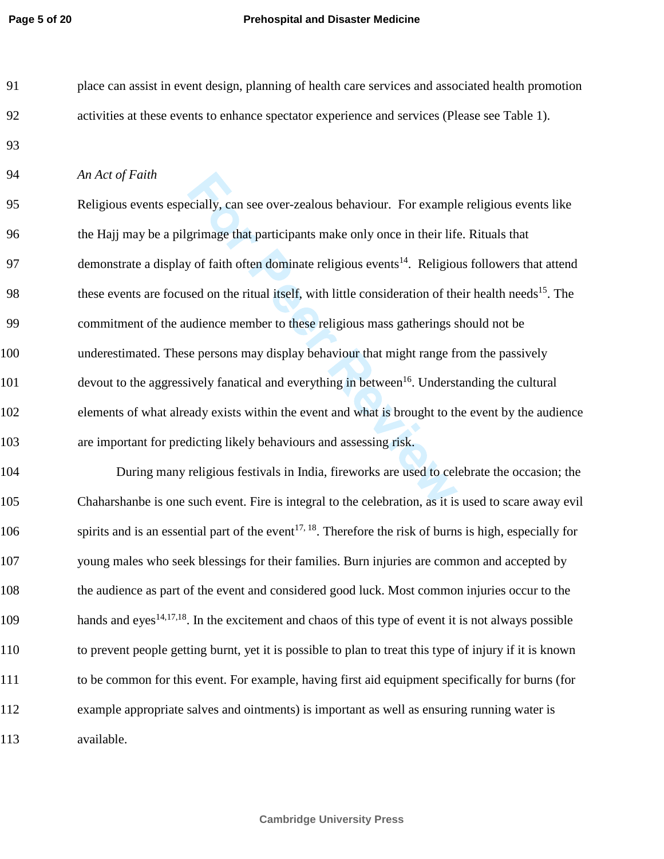#### **Page 5 of 20 Prehospital and Disaster Medicine**

| 91 | place can assist in event design, planning of health care services and associated health promotion |
|----|----------------------------------------------------------------------------------------------------|
| 92 | activities at these events to enhance spectator experience and services (Please see Table 1).      |

#### *An Act of Faith*

| 95  | Religious events especially, can see over-zealous behaviour. For example religious events like                     |
|-----|--------------------------------------------------------------------------------------------------------------------|
| 96  | the Hajj may be a pilgrimage that participants make only once in their life. Rituals that                          |
| 97  | demonstrate a display of faith often dominate religious events <sup>14</sup> . Religious followers that attend     |
| 98  | these events are focused on the ritual itself, with little consideration of their health needs <sup>15</sup> . The |
| 99  | commitment of the audience member to these religious mass gatherings should not be                                 |
| 100 | underestimated. These persons may display behaviour that might range from the passively                            |
| 101 | devout to the aggressively fanatical and everything in between <sup>16</sup> . Understanding the cultural          |
| 102 | elements of what already exists within the event and what is brought to the event by the audience                  |
| 103 | are important for predicting likely behaviours and assessing risk.                                                 |

 During many religious festivals in India, fireworks are used to celebrate the occasion; the Chaharshanbe is one such event. Fire is integral to the celebration, as it is used to scare away evil 106 spirits and is an essential part of the event<sup>17, 18</sup>. Therefore the risk of burns is high, especially for young males who seek blessings for their families. Burn injuries are common and accepted by the audience as part of the event and considered good luck. Most common injuries occur to the hands and eyes<sup>14,17,18</sup>. In the excitement and chaos of this type of event it is not always possible to prevent people getting burnt, yet it is possible to plan to treat this type of injury if it is known to be common for this event. For example, having first aid equipment specifically for burns (for example appropriate salves and ointments) is important as well as ensuring running water is available.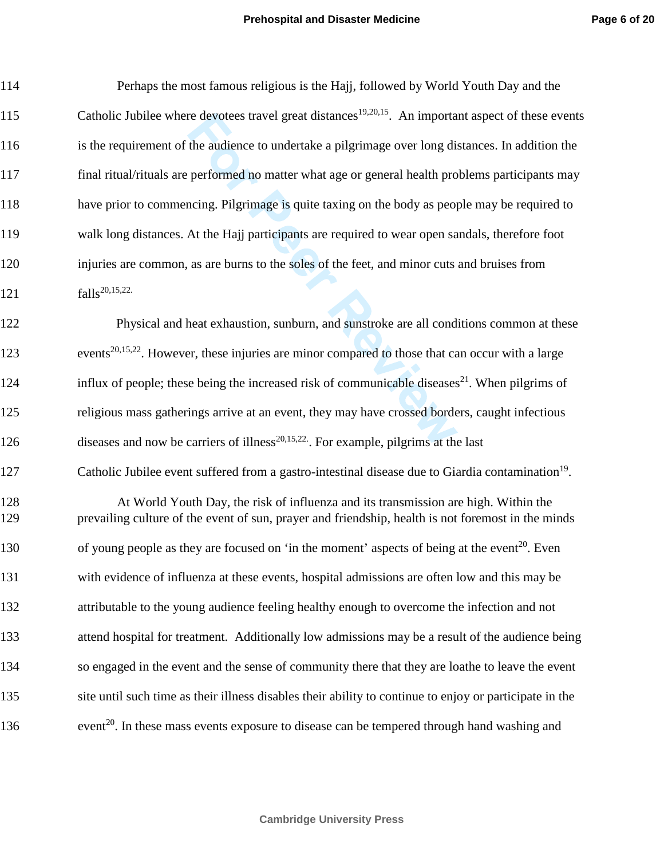| 114        | Perhaps the most famous religious is the Hajj, followed by World Youth Day and the                                                                                                        |
|------------|-------------------------------------------------------------------------------------------------------------------------------------------------------------------------------------------|
| 115        | Catholic Jubilee where devotees travel great distances <sup>19,20,15</sup> . An important aspect of these events                                                                          |
| 116        | is the requirement of the audience to undertake a pilgrimage over long distances. In addition the                                                                                         |
| 117        | final ritual/rituals are performed no matter what age or general health problems participants may                                                                                         |
| 118        | have prior to commencing. Pilgrimage is quite taxing on the body as people may be required to                                                                                             |
| 119        | walk long distances. At the Hajj participants are required to wear open sandals, therefore foot                                                                                           |
| 120        | injuries are common, as are burns to the soles of the feet, and minor cuts and bruises from                                                                                               |
| 121        | falls <sup>20,15,22</sup> .                                                                                                                                                               |
| 122        | Physical and heat exhaustion, sunburn, and sunstroke are all conditions common at these                                                                                                   |
| 123        | events <sup>20,15,22</sup> . However, these injuries are minor compared to those that can occur with a large                                                                              |
| 124        | influx of people; these being the increased risk of communicable diseases <sup>21</sup> . When pilgrims of                                                                                |
| 125        | religious mass gatherings arrive at an event, they may have crossed borders, caught infectious                                                                                            |
| 126        | diseases and now be carriers of illness <sup>20,15,22</sup> . For example, pilgrims at the last                                                                                           |
| 127        | Catholic Jubilee event suffered from a gastro-intestinal disease due to Giardia contamination <sup>19</sup> .                                                                             |
| 128<br>129 | At World Youth Day, the risk of influenza and its transmission are high. Within the<br>prevailing culture of the event of sun, prayer and friendship, health is not foremost in the minds |
| 130        | of young people as they are focused on 'in the moment' aspects of being at the event <sup>20</sup> . Even                                                                                 |
| 131        | with evidence of influenza at these events, hospital admissions are often low and this may be                                                                                             |
| 132        | attributable to the young audience feeling healthy enough to overcome the infection and not                                                                                               |
| 133        | attend hospital for treatment. Additionally low admissions may be a result of the audience being                                                                                          |
| 134        | so engaged in the event and the sense of community there that they are loathe to leave the event                                                                                          |
| 135        | site until such time as their illness disables their ability to continue to enjoy or participate in the                                                                                   |
| 136        | event <sup>20</sup> . In these mass events exposure to disease can be tempered through hand washing and                                                                                   |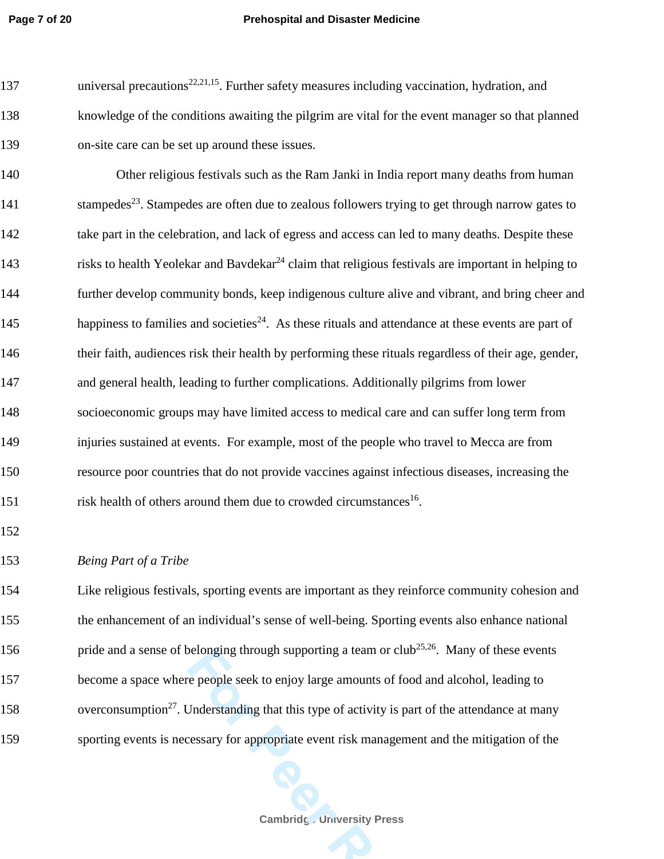#### **Page 7 of 20 Prehospital and Disaster Medicine**

137 universal precautions<sup>22,21,15</sup>. Further safety measures including vaccination, hydration, and 138 knowledge of the conditions awaiting the pilgrim are vital for the event manager so that planned 139 on-site care can be set up around these issues.

140 Other religious festivals such as the Ram Janki in India report many deaths from human 141 . Stampedes<sup>23</sup>. Stampedes are often due to zealous followers trying to get through narrow gates to 142 take part in the celebration, and lack of egress and access can led to many deaths. Despite these 143 risks to health Yeolekar and Bavdekar<sup>24</sup> claim that religious festivals are important in helping to 144 further develop community bonds, keep indigenous culture alive and vibrant, and bring cheer and happiness to families and societies<sup>24</sup>. As these rituals and attendance at these events are part of 146 their faith, audiences risk their health by performing these rituals regardless of their age, gender, 147 and general health, leading to further complications. Additionally pilgrims from lower 148 socioeconomic groups may have limited access to medical care and can suffer long term from 149 injuries sustained at events. For example, most of the people who travel to Mecca are from 150 resource poor countries that do not provide vaccines against infectious diseases, increasing the 151 risk health of others around them due to crowded circumstances<sup>16</sup>.

152

153 *Being Part of a Tribe* 

 Like religious festivals, sporting events are important as they reinforce community cohesion and the enhancement of an individual's sense of well-being. Sporting events also enhance national 156 https://pride and a sense of belonging through supporting a team or club<sup>25,26</sup>. Many of these events become a space where people seek to enjoy large amounts of food and alcohol, leading to 158 overconsumption<sup>27</sup>. Understanding that this type of activity is part of the attendance at many sporting events is necessary for appropriate event risk management and the mitigation of the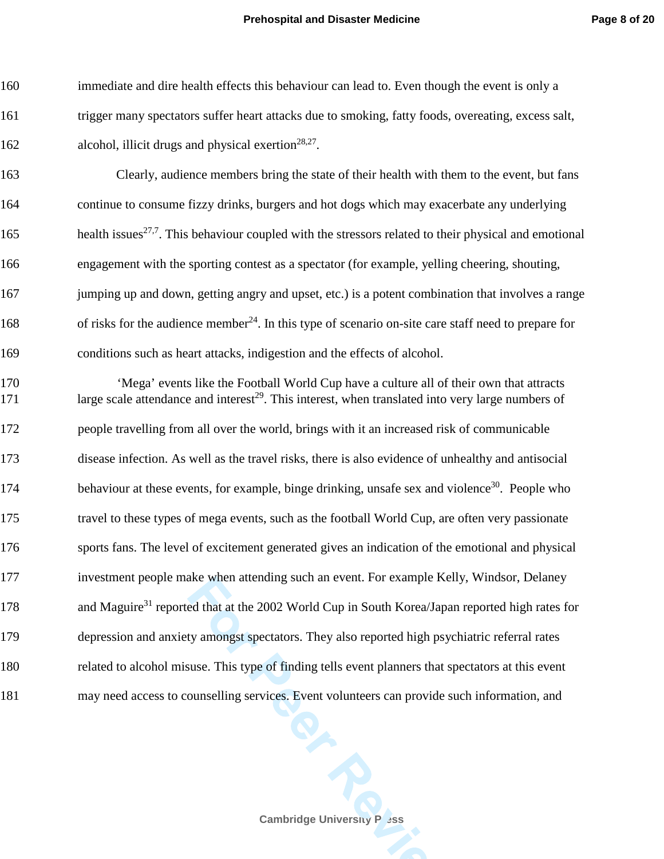immediate and dire health effects this behaviour can lead to. Even though the event is only a trigger many spectators suffer heart attacks due to smoking, fatty foods, overeating, excess salt, 162 alcohol, illicit drugs and physical exertion<sup>28,27</sup>.

 Clearly, audience members bring the state of their health with them to the event, but fans continue to consume fizzy drinks, burgers and hot dogs which may exacerbate any underlying 165 health issues<sup>27,7</sup>. This behaviour coupled with the stressors related to their physical and emotional engagement with the sporting contest as a spectator (for example, yelling cheering, shouting, 167 jumping up and down, getting angry and upset, etc.) is a potent combination that involves a range 168 of risks for the audience member<sup>24</sup>. In this type of scenario on-site care staff need to prepare for conditions such as heart attacks, indigestion and the effects of alcohol.

 'Mega' events like the Football World Cup have a culture all of their own that attracts large scale attendance and interest<sup>29</sup>. This interest, when translated into very large numbers of people travelling from all over the world, brings with it an increased risk of communicable disease infection. As well as the travel risks, there is also evidence of unhealthy and antisocial 174 behaviour at these events, for example, binge drinking, unsafe sex and violence<sup>30</sup>. People who travel to these types of mega events, such as the football World Cup, are often very passionate sports fans. The level of excitement generated gives an indication of the emotional and physical investment people make when attending such an event. For example Kelly, Windsor, Delaney 178 and Maguire<sup>31</sup> reported that at the 2002 World Cup in South Korea/Japan reported high rates for depression and anxiety amongst spectators. They also reported high psychiatric referral rates related to alcohol misuse. This type of finding tells event planners that spectators at this event may need access to counselling services. Event volunteers can provide such information, and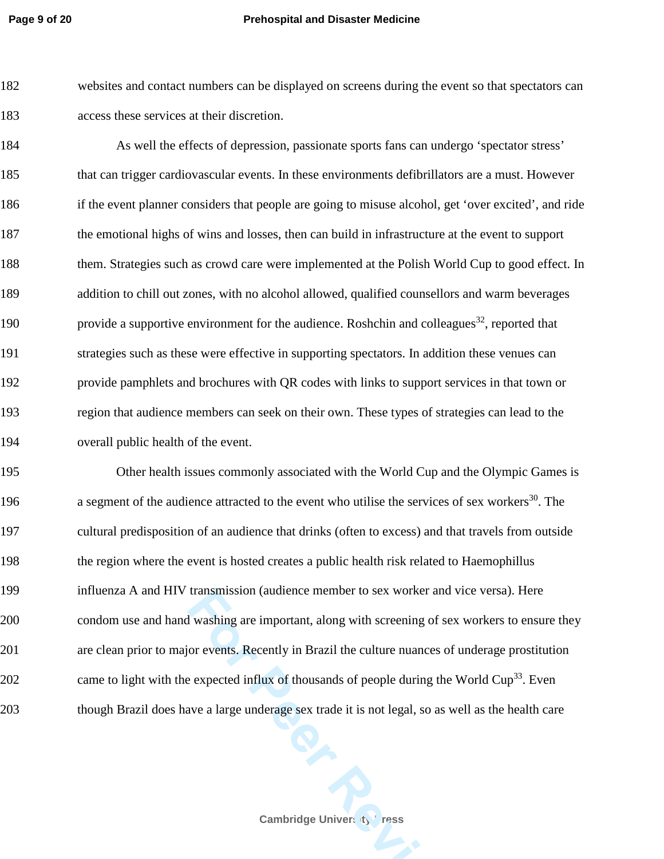#### **Page 9 of 20 Prehospital and Disaster Medicine**

 websites and contact numbers can be displayed on screens during the event so that spectators can access these services at their discretion.

 As well the effects of depression, passionate sports fans can undergo 'spectator stress' that can trigger cardiovascular events. In these environments defibrillators are a must. However if the event planner considers that people are going to misuse alcohol, get 'over excited', and ride the emotional highs of wins and losses, then can build in infrastructure at the event to support them. Strategies such as crowd care were implemented at the Polish World Cup to good effect. In addition to chill out zones, with no alcohol allowed, qualified counsellors and warm beverages 190 provide a supportive environment for the audience. Roshchin and colleagues<sup>32</sup>, reported that strategies such as these were effective in supporting spectators. In addition these venues can provide pamphlets and brochures with QR codes with links to support services in that town or region that audience members can seek on their own. These types of strategies can lead to the overall public health of the event.

 Other health issues commonly associated with the World Cup and the Olympic Games is 196 a segment of the audience attracted to the event who utilise the services of sex workers<sup>30</sup>. The cultural predisposition of an audience that drinks (often to excess) and that travels from outside the region where the event is hosted creates a public health risk related to Haemophillus influenza A and HIV transmission (audience member to sex worker and vice versa). Here condom use and hand washing are important, along with screening of sex workers to ensure they are clean prior to major events. Recently in Brazil the culture nuances of underage prostitution 202 came to light with the expected influx of thousands of people during the World Cup<sup>33</sup>. Even though Brazil does have a large underage sex trade it is not legal, so as well as the health care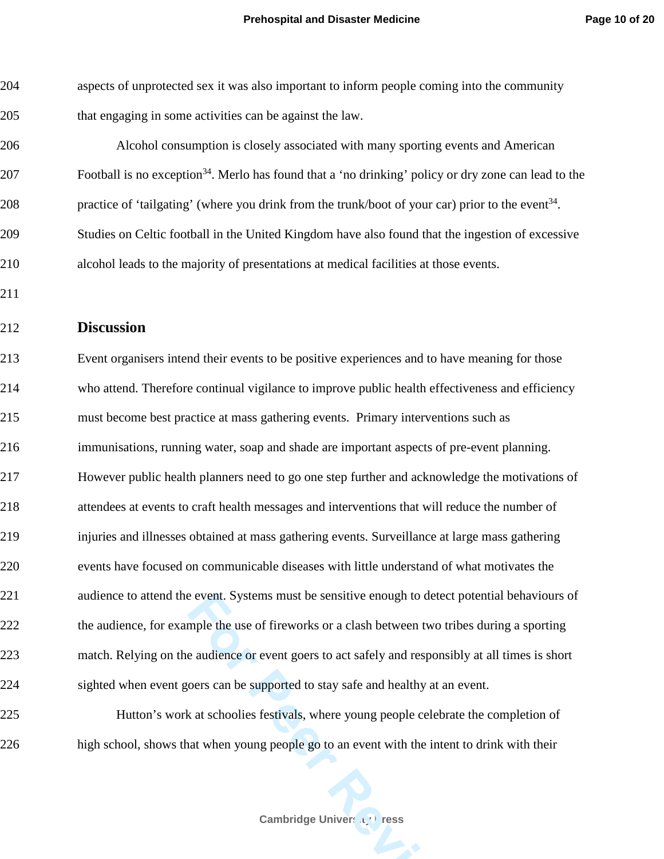aspects of unprotected sex it was also important to inform people coming into the community that engaging in some activities can be against the law.

 Alcohol consumption is closely associated with many sporting events and American **Example 1** Football is no exception<sup>34</sup>. Merlo has found that a 'no drinking' policy or dry zone can lead to the 208 practice of 'tailgating' (where you drink from the trunk/boot of your car) prior to the event<sup>34</sup>. Studies on Celtic football in the United Kingdom have also found that the ingestion of excessive alcohol leads to the majority of presentations at medical facilities at those events.

#### **Discussion**

 Event organisers intend their events to be positive experiences and to have meaning for those who attend. Therefore continual vigilance to improve public health effectiveness and efficiency must become best practice at mass gathering events. Primary interventions such as immunisations, running water, soap and shade are important aspects of pre-event planning. However public health planners need to go one step further and acknowledge the motivations of attendees at events to craft health messages and interventions that will reduce the number of injuries and illnesses obtained at mass gathering events. Surveillance at large mass gathering events have focused on communicable diseases with little understand of what motivates the audience to attend the event. Systems must be sensitive enough to detect potential behaviours of the audience, for example the use of fireworks or a clash between two tribes during a sporting match. Relying on the audience or event goers to act safely and responsibly at all times is short sighted when event goers can be supported to stay safe and healthy at an event.

 Hutton's work at schoolies festivals, where young people celebrate the completion of high school, shows that when young people go to an event with the intent to drink with their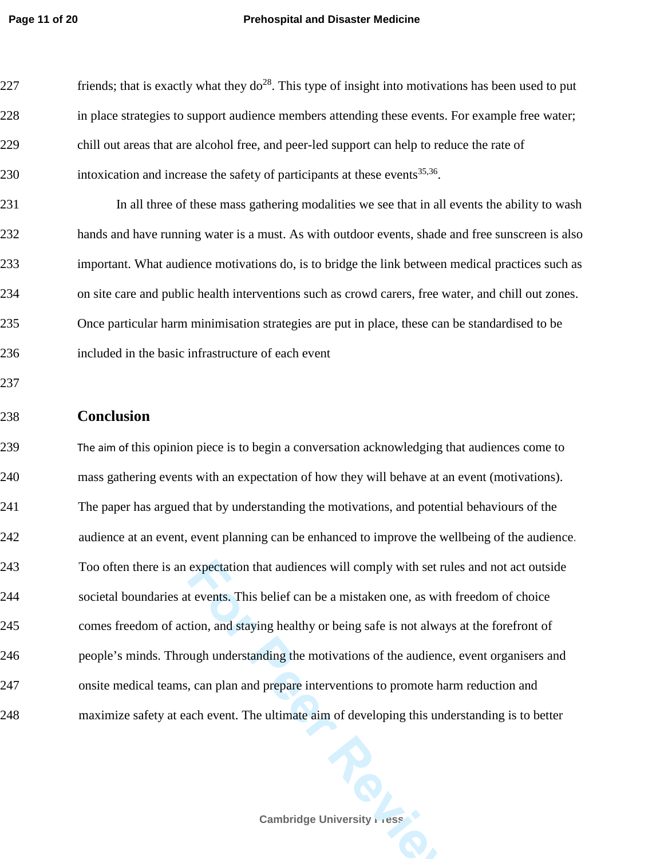#### **Page 11 of 20 Prehospital and Disaster Medicine**

| 227 | friends; that is exactly what they $do^{28}$ . This type of insight into motivations has been used to put |
|-----|-----------------------------------------------------------------------------------------------------------|
| 228 | in place strategies to support audience members attending these events. For example free water;           |
| 229 | chill out areas that are alcohol free, and peer-led support can help to reduce the rate of                |
| 230 | intoxication and increase the safety of participants at these events <sup>35,36</sup> .                   |
| 231 | In all three of these mass gathering modalities we see that in all events the ability to wash             |
| 232 | hands and have running water is a must. As with outdoor events, shade and free sunscreen is also          |
| 233 | important. What audience motivations do, is to bridge the link between medical practices such as          |
| 234 | on site care and public health interventions such as crowd carers, free water, and chill out zones.       |
| 235 | Once particular harm minimisation strategies are put in place, these can be standardised to be            |
| 236 | included in the basic infrastructure of each event                                                        |
| 237 |                                                                                                           |
|     |                                                                                                           |
| 238 | <b>Conclusion</b>                                                                                         |
| 239 | The aim of this opinion piece is to begin a conversation acknowledging that audiences come to             |
| 240 | mass gathering events with an expectation of how they will behave at an event (motivations).              |
| 241 | The paper has argued that by understanding the motivations, and potential behaviours of the               |
| 242 | audience at an event, event planning can be enhanced to improve the wellbeing of the audience.            |
| 243 | Too often there is an expectation that audiences will comply with set rules and not act outside           |
| 244 | societal boundaries at events. This belief can be a mistaken one, as with freedom of choice               |
| 245 | comes freedom of action, and staying healthy or being safe is not always at the forefront of              |
| 246 | people's minds. Through understanding the motivations of the audience, event organisers and               |
| 247 | onsite medical teams, can plan and prepare interventions to promote harm reduction and                    |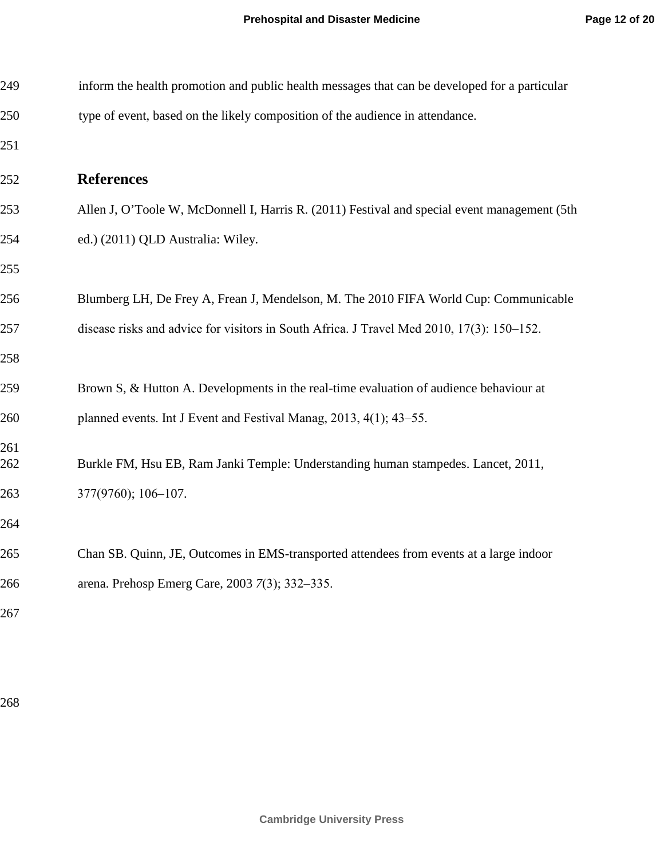| 249        | inform the health promotion and public health messages that can be developed for a particular |
|------------|-----------------------------------------------------------------------------------------------|
| 250        | type of event, based on the likely composition of the audience in attendance.                 |
| 251        |                                                                                               |
| 252        | <b>References</b>                                                                             |
| 253        | Allen J, O'Toole W, McDonnell I, Harris R. (2011) Festival and special event management (5th  |
| 254        | ed.) (2011) QLD Australia: Wiley.                                                             |
| 255        |                                                                                               |
| 256        | Blumberg LH, De Frey A, Frean J, Mendelson, M. The 2010 FIFA World Cup: Communicable          |
| 257        | disease risks and advice for visitors in South Africa. J Travel Med 2010, 17(3): 150–152.     |
| 258        |                                                                                               |
| 259        | Brown S, & Hutton A. Developments in the real-time evaluation of audience behaviour at        |
| 260        | planned events. Int J Event and Festival Manag, 2013, 4(1); 43-55.                            |
| 261<br>262 | Burkle FM, Hsu EB, Ram Janki Temple: Understanding human stampedes. Lancet, 2011,             |
| 263        | 377(9760); 106-107.                                                                           |
| 264        |                                                                                               |
| 265        | Chan SB. Quinn, JE, Outcomes in EMS-transported attendees from events at a large indoor       |
| 266        | arena. Prehosp Emerg Care, 2003 7(3); 332–335.                                                |
| 267        |                                                                                               |
|            |                                                                                               |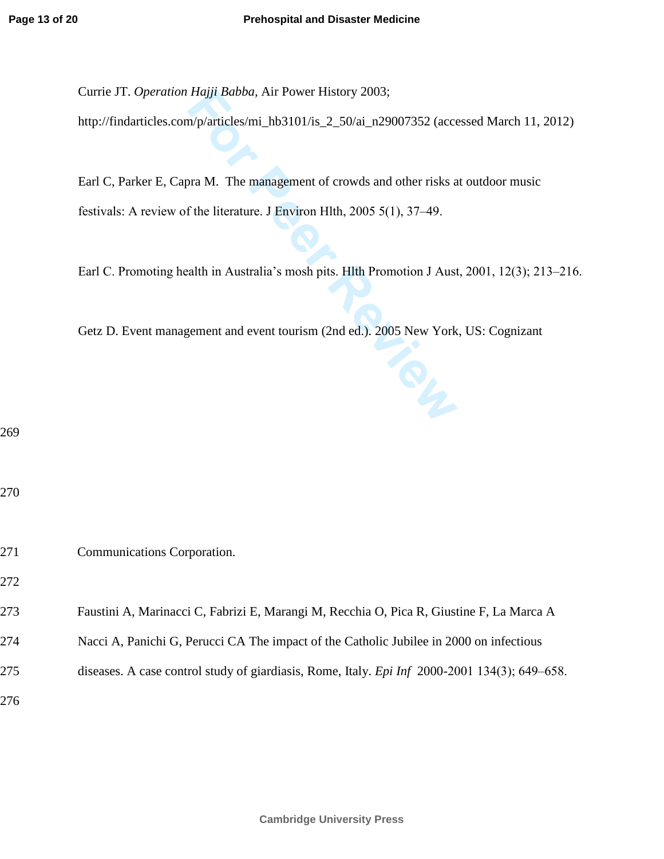Currie JT. *Operation Hajji Babba,* Air Power History 2003;

http://findarticles.com/p/articles/mi\_hb3101/is\_2\_50/ai\_n29007352 (accessed March 11, 2012)

Earl C, Parker E, Capra M. The management of crowds and other risks at outdoor music festivals: A review of the literature. J Environ Hlth, 2005 5(1), 37–49.

Earl C. Promoting health in Australia's mosh pits. Hlth Promotion J Aust, 2001, 12(3); 213–216.

Getz D. Event management and event tourism (2nd ed.). 2005 New York, US: Cognizant

269

270

271 Communications Corporation.

272

- 273 Faustini A, Marinacci C, Fabrizi E, Marangi M, Recchia O, Pica R, Giustine F, La Marca A
- 274 Nacci A, Panichi G, Perucci CA The impact of the Catholic Jubilee in 2000 on infectious
- 275 diseases. A case control study of giardiasis, Rome, Italy. *Epi Inf* 2000-2001 134(3); 649‒658.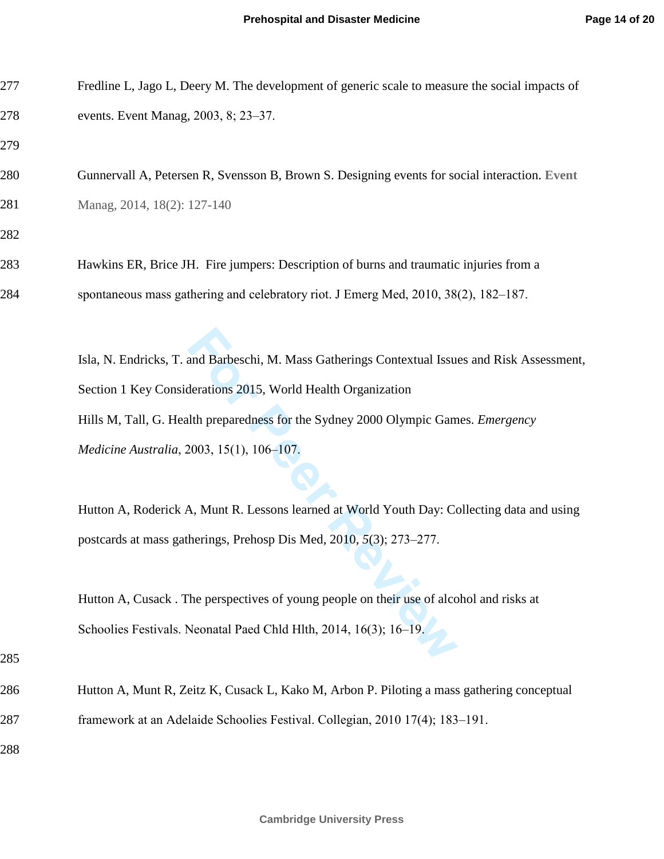| 277 | Fredline L, Jago L, Deery M. The development of generic scale to measure the social impacts of |  |  |
|-----|------------------------------------------------------------------------------------------------|--|--|
| 278 | events. Event Manag, 2003, 8; 23-37.                                                           |  |  |
| 279 |                                                                                                |  |  |
| 280 | Gunnervall A, Petersen R, Svensson B, Brown S. Designing events for social interaction. Event  |  |  |
| 281 | Manag, 2014, 18(2): 127-140                                                                    |  |  |
| 282 |                                                                                                |  |  |
| 283 | Hawkins ER, Brice JH. Fire jumpers: Description of burns and traumatic injuries from a         |  |  |
| 284 | spontaneous mass gathering and celebratory riot. J Emerg Med, 2010, 38(2), 182–187.            |  |  |
|     |                                                                                                |  |  |
|     | Isla, N. Endricks, T. and Barbeschi, M. Mass Gatherings Contextual Issues and Risk Assessment, |  |  |
|     | Section 1 Key Considerations 2015, World Health Organization                                   |  |  |
|     | Hills M, Tall, G. Health preparedness for the Sydney 2000 Olympic Games. Emergency             |  |  |
|     | Medicine Australia, 2003, 15(1), 106-107.                                                      |  |  |
|     |                                                                                                |  |  |
|     | Hutton A, Roderick A, Munt R. Lessons learned at World Youth Day: Collecting data and using    |  |  |
|     | postcards at mass gatherings, Prehosp Dis Med, 2010, 5(3); 273–277.                            |  |  |
|     |                                                                                                |  |  |
|     | Hutton A, Cusack. The perspectives of young people on their use of alcohol and risks at        |  |  |
|     | Schoolies Festivals. Neonatal Paed Chld Hlth, 2014, 16(3); 16–19.                              |  |  |
| 285 |                                                                                                |  |  |
| 286 | Hutton A, Munt R, Zeitz K, Cusack L, Kako M, Arbon P. Piloting a mass gathering conceptual     |  |  |
| 287 | framework at an Adelaide Schoolies Festival. Collegian, 2010 17(4); 183-191.                   |  |  |
| 288 |                                                                                                |  |  |
|     |                                                                                                |  |  |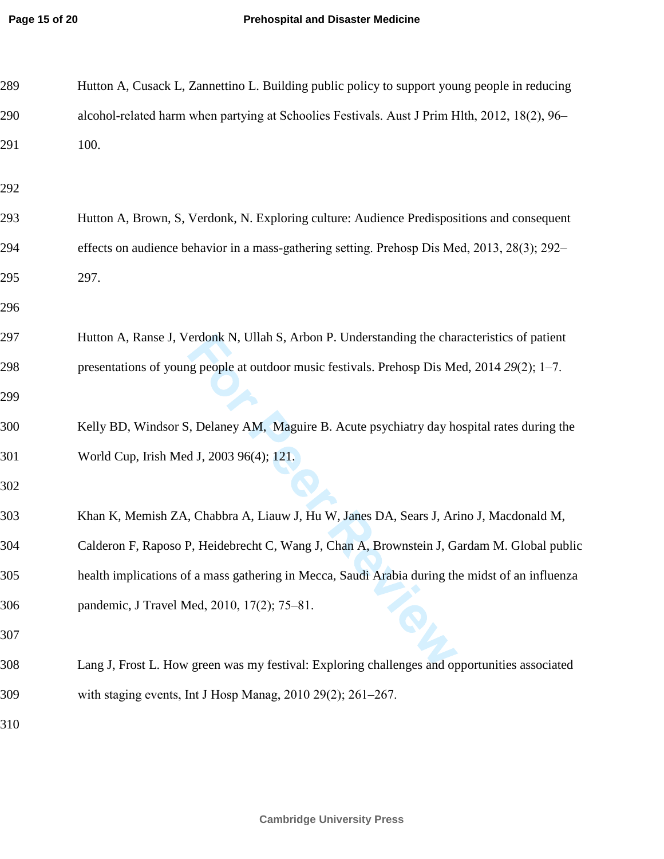| 289 | Hutton A, Cusack L, Zannettino L. Building public policy to support young people in reducing    |
|-----|-------------------------------------------------------------------------------------------------|
| 290 | alcohol-related harm when partying at Schoolies Festivals. Aust J Prim Hlth, 2012, 18(2), 96-   |
| 291 | 100.                                                                                            |
| 292 |                                                                                                 |
| 293 | Hutton A, Brown, S, Verdonk, N. Exploring culture: Audience Predispositions and consequent      |
| 294 | effects on audience behavior in a mass-gathering setting. Prehosp Dis Med, 2013, 28(3); 292–    |
| 295 | 297.                                                                                            |
| 296 |                                                                                                 |
| 297 | Hutton A, Ranse J, Verdonk N, Ullah S, Arbon P. Understanding the characteristics of patient    |
| 298 | presentations of young people at outdoor music festivals. Prehosp Dis Med, 2014 29(2); 1-7.     |
| 299 |                                                                                                 |
| 300 | Kelly BD, Windsor S, Delaney AM, Maguire B. Acute psychiatry day hospital rates during the      |
| 301 | World Cup, Irish Med J, 2003 96(4); 121.                                                        |
| 302 |                                                                                                 |
| 303 | Khan K, Memish ZA, Chabbra A, Liauw J, Hu W, Janes DA, Sears J, Arino J, Macdonald M,           |
| 304 | Calderon F, Raposo P, Heidebrecht C, Wang J, Chan A, Brownstein J, Gardam M. Global public      |
| 305 | health implications of a mass gathering in Mecca, Saudi Arabia during the midst of an influenza |
| 306 | pandemic, J Travel Med, 2010, 17(2); 75-81.                                                     |
| 307 |                                                                                                 |
| 308 | Lang J, Frost L. How green was my festival: Exploring challenges and opportunities associated   |
| 309 | with staging events, Int J Hosp Manag, 2010 29(2); 261-267.                                     |
| 310 |                                                                                                 |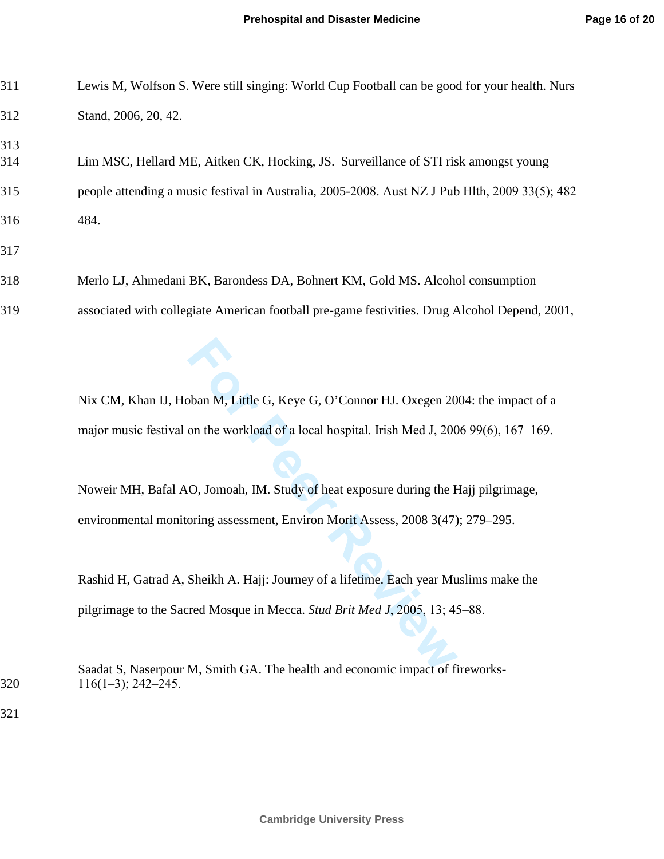311 Lewis M, Wolfson S. Were still singing: World Cup Football can be good for your health. Nurs

| 312                                                                                         | Stand, 2006, 20, 42.                                                                                   |  |  |
|---------------------------------------------------------------------------------------------|--------------------------------------------------------------------------------------------------------|--|--|
| 313<br>314                                                                                  | Lim MSC, Hellard ME, Aitken CK, Hocking, JS. Surveillance of STI risk amongst young                    |  |  |
| 315                                                                                         | people attending a music festival in Australia, 2005-2008. Aust NZ J Pub Hlth, 2009 33(5); 482-        |  |  |
| 316                                                                                         | 484.                                                                                                   |  |  |
| 317                                                                                         |                                                                                                        |  |  |
| 318                                                                                         | Merlo LJ, Ahmedani BK, Barondess DA, Bohnert KM, Gold MS. Alcohol consumption                          |  |  |
| 319                                                                                         | associated with collegiate American football pre-game festivities. Drug Alcohol Depend, 2001,          |  |  |
|                                                                                             |                                                                                                        |  |  |
|                                                                                             | Nix CM, Khan IJ, Hoban M, Little G, Keye G, O'Connor HJ. Oxegen 2004: the impact of a                  |  |  |
| major music festival on the workload of a local hospital. Irish Med J, 2006 99(6), 167–169. |                                                                                                        |  |  |
|                                                                                             |                                                                                                        |  |  |
|                                                                                             | Noweir MH, Bafal AO, Jomoah, IM. Study of heat exposure during the Hajj pilgrimage,                    |  |  |
|                                                                                             | environmental monitoring assessment, Environ Morit Assess, 2008 3(47); 279–295.                        |  |  |
|                                                                                             |                                                                                                        |  |  |
|                                                                                             | Rashid H, Gatrad A, Sheikh A. Hajj: Journey of a lifetime. Each year Muslims make the                  |  |  |
|                                                                                             | pilgrimage to the Sacred Mosque in Mecca. Stud Brit Med J, 2005, 13; 45–88.                            |  |  |
| 320                                                                                         | Saadat S, Naserpour M, Smith GA. The health and economic impact of fireworks-<br>$116(1-3)$ ; 242-245. |  |  |
| 321                                                                                         |                                                                                                        |  |  |
|                                                                                             |                                                                                                        |  |  |
|                                                                                             |                                                                                                        |  |  |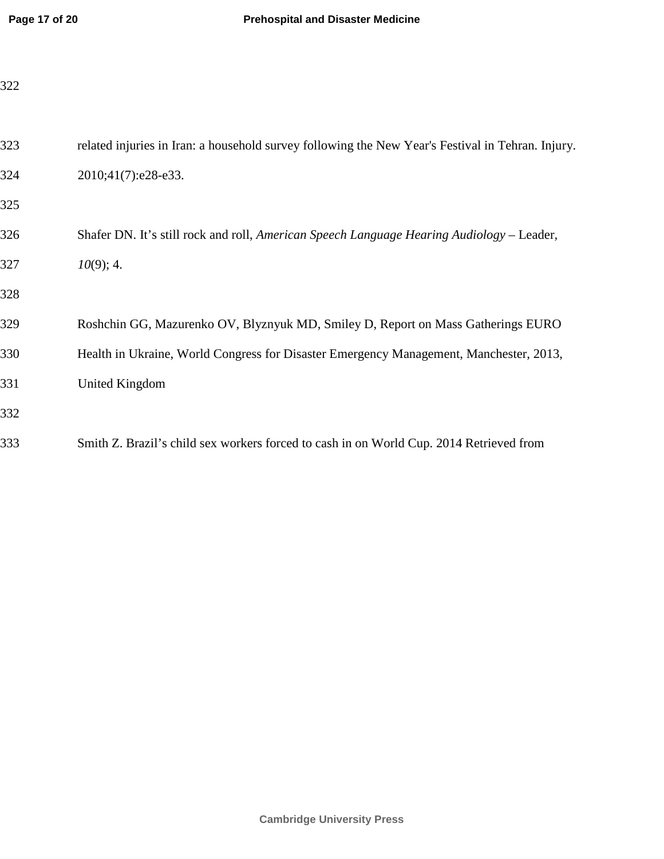| 323 | related injuries in Iran: a household survey following the New Year's Festival in Tehran. Injury. |
|-----|---------------------------------------------------------------------------------------------------|
| 324 | 2010;41(7):e28-e33.                                                                               |
| 325 |                                                                                                   |
| 326 | Shafer DN. It's still rock and roll, American Speech Language Hearing Audiology - Leader,         |
| 327 | $10(9)$ ; 4.                                                                                      |
| 328 |                                                                                                   |
| 329 | Roshchin GG, Mazurenko OV, Blyznyuk MD, Smiley D, Report on Mass Gatherings EURO                  |
| 330 | Health in Ukraine, World Congress for Disaster Emergency Management, Manchester, 2013,            |
| 331 | United Kingdom                                                                                    |
| 332 |                                                                                                   |
| 333 | Smith Z. Brazil's child sex workers forced to cash in on World Cup. 2014 Retrieved from           |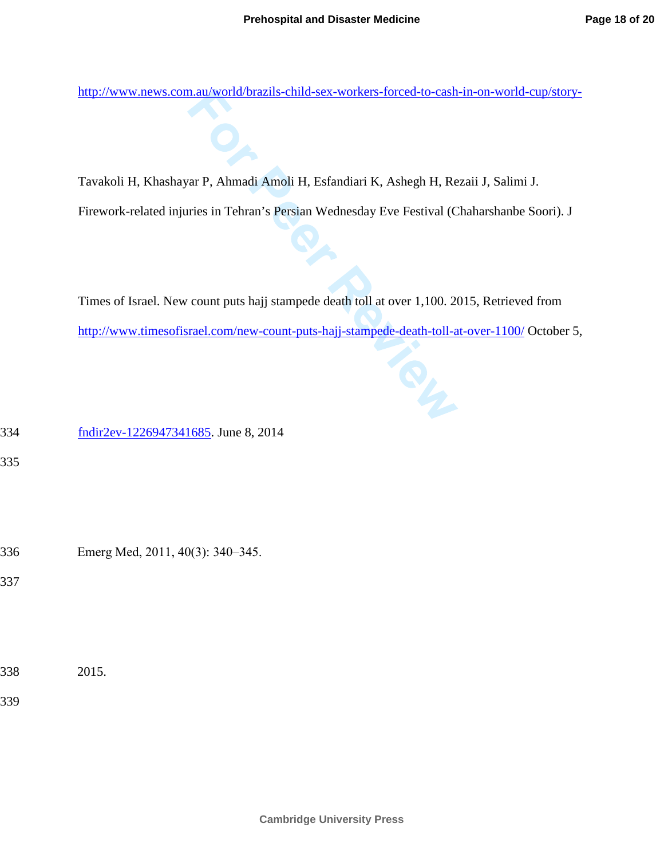http://www.news.com.au/world/brazils-child-sex-workers-forced-to-cash-in-on-world-cup/story-

Tavakoli H, Khashayar P, Ahmadi Amoli H, Esfandiari K, Ashegh H, Rezaii J, Salimi J.

Firework-related injuries in Tehran's Persian Wednesday Eve Festival (Chaharshanbe Soori). J

Times of Israel. New count puts hajj stampede death toll at over 1,100. 2015, Retrieved from http://www.timesofisrael.com/new-count-puts-hajj-stampede-death-toll-at-over-1100/ October 5,

334 fndir2ev-1226947341685. June 8, 2014

335

336 Emerg Med, 2011, 40(3): 340‒345.

337

338 2015.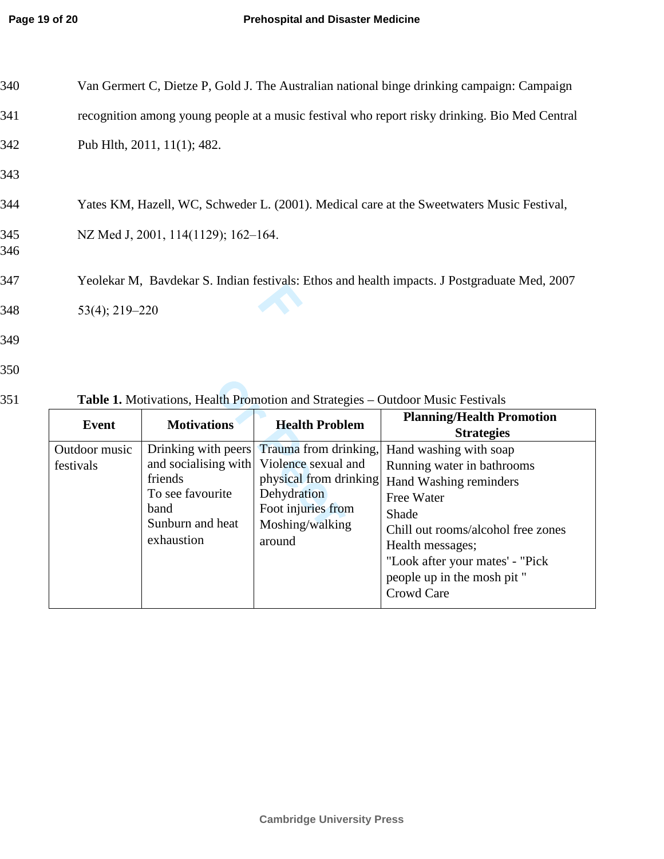| 340        | Van Germert C, Dietze P, Gold J. The Australian national binge drinking campaign: Campaign    |
|------------|-----------------------------------------------------------------------------------------------|
| 341        | recognition among young people at a music festival who report risky drinking. Bio Med Central |
| 342        | Pub Hlth, 2011, 11(1); 482.                                                                   |
| 343        |                                                                                               |
| 344        | Yates KM, Hazell, WC, Schweder L. (2001). Medical care at the Sweetwaters Music Festival,     |
| 345<br>346 | NZ Med J, 2001, 114(1129); 162-164.                                                           |
| 347        | Yeolekar M, Bavdekar S. Indian festivals: Ethos and health impacts. J Postgraduate Med, 2007  |
| 348        | $53(4)$ ; 219-220                                                                             |
| 349        |                                                                                               |
| 350        |                                                                                               |

**Event** Motivations **Health Problem Planning/Health Promotion Strategies**  Outdoor music festivals Drinking with peers and socialising with friends To see favourite band Sunburn and heat exhaustion Trauma from drinking, Violence sexual and physical from drinking **Dehydration** Foot injuries from Moshing/walking around Hand washing with soap Running water in bathrooms Hand Washing reminders Free Water Shade Chill out rooms/alcohol free zones Health messages; "Look after your mates' - "Pick people up in the mosh pit " Crowd Care

351 **Table 1.** Motivations, Health Promotion and Strategies – Outdoor Music Festivals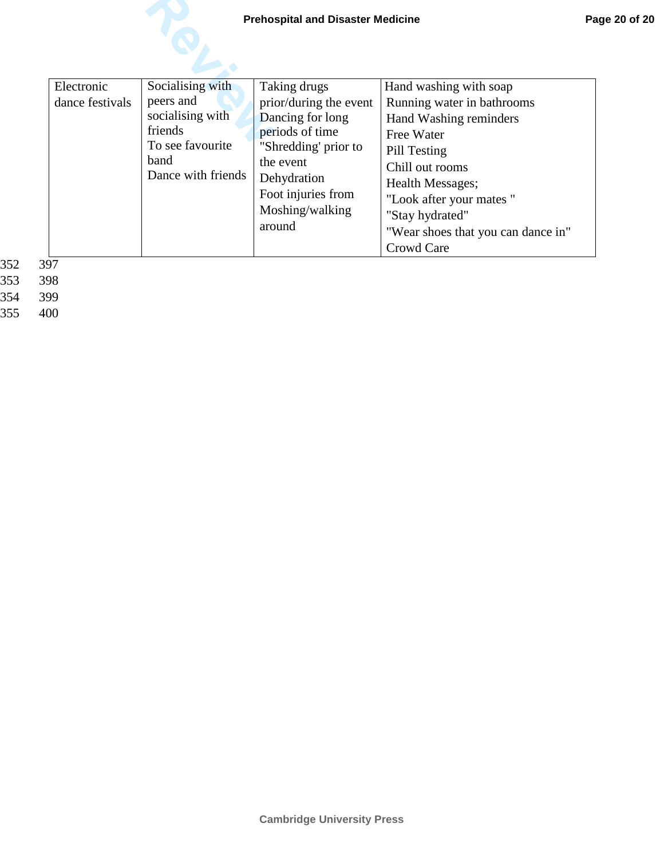| Electronic<br>dance festivals<br>∩¬ | Socialising with<br>peers and<br>socialising with<br>friends<br>To see favourite<br>band<br>Dance with friends | Taking drugs<br>prior/during the event<br>Dancing for long<br>periods of time<br>"Shredding' prior to<br>the event<br>Dehydration<br>Foot injuries from<br>Moshing/walking<br>around | Hand washing with soap<br>Running water in bathrooms<br>Hand Washing reminders<br>Free Water<br>Pill Testing<br>Chill out rooms<br><b>Health Messages;</b><br>"Look after your mates"<br>"Stay hydrated"<br>"Wear shoes that you can dance in"<br>Crowd Care |
|-------------------------------------|----------------------------------------------------------------------------------------------------------------|--------------------------------------------------------------------------------------------------------------------------------------------------------------------------------------|--------------------------------------------------------------------------------------------------------------------------------------------------------------------------------------------------------------------------------------------------------------|
|-------------------------------------|----------------------------------------------------------------------------------------------------------------|--------------------------------------------------------------------------------------------------------------------------------------------------------------------------------------|--------------------------------------------------------------------------------------------------------------------------------------------------------------------------------------------------------------------------------------------------------------|

353 398<br>354 399

354 399<br>355 400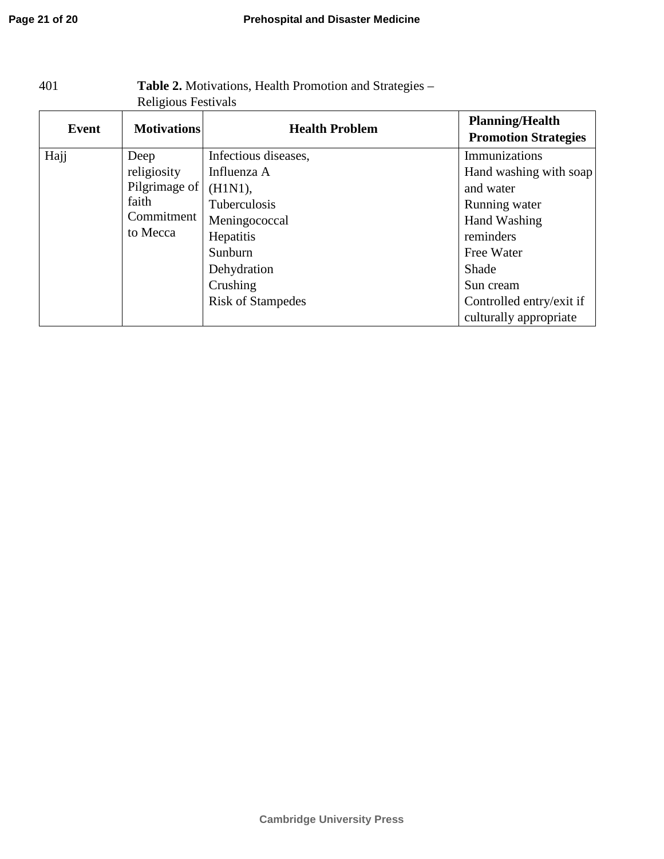| Religious Festivals          |                                 |                          |                                                       |  |  |
|------------------------------|---------------------------------|--------------------------|-------------------------------------------------------|--|--|
| Event                        | <b>Motivations</b>              | <b>Health Problem</b>    | <b>Planning/Health</b><br><b>Promotion Strategies</b> |  |  |
| Hajj                         | Deep                            | Infectious diseases,     | Immunizations                                         |  |  |
| religiosity<br>Pilgrimage of |                                 | Influenza A              | Hand washing with soap                                |  |  |
|                              |                                 | (H1N1),                  | and water                                             |  |  |
|                              | faith<br>Commitment<br>to Mecca | Tuberculosis             | Running water                                         |  |  |
|                              |                                 | Meningococcal            | Hand Washing                                          |  |  |
|                              |                                 | Hepatitis                | reminders                                             |  |  |
|                              |                                 | Sunburn                  | Free Water                                            |  |  |
|                              |                                 | Dehydration              | Shade                                                 |  |  |
|                              |                                 | Crushing                 | Sun cream                                             |  |  |
|                              |                                 | <b>Risk of Stampedes</b> | Controlled entry/exit if                              |  |  |
|                              |                                 |                          | culturally appropriate                                |  |  |

# 401 **Table 2.** Motivations, Health Promotion and Strategies –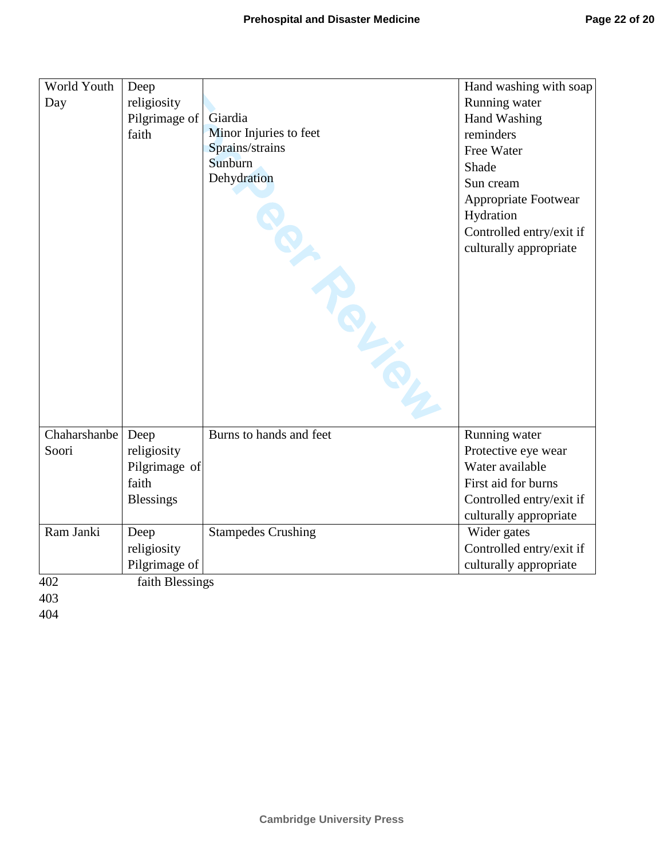| World Youth  | Deep             |                           | Hand washing with soap   |
|--------------|------------------|---------------------------|--------------------------|
| Day          | religiosity      |                           | Running water            |
|              | Pilgrimage of    | Giardia                   | Hand Washing             |
|              | faith            | Minor Injuries to feet    | reminders                |
|              |                  | Sprains/strains           | Free Water               |
|              |                  | Sunburn                   | Shade                    |
|              |                  | Dehydration               | Sun cream                |
|              |                  |                           | Appropriate Footwear     |
|              |                  |                           | Hydration                |
|              |                  |                           | Controlled entry/exit if |
|              |                  | <b>PARALLER</b>           | culturally appropriate   |
|              |                  |                           |                          |
|              |                  |                           |                          |
|              |                  |                           |                          |
|              |                  |                           |                          |
|              |                  |                           |                          |
|              |                  |                           |                          |
|              |                  |                           |                          |
|              |                  |                           |                          |
|              |                  |                           |                          |
| Chaharshanbe | Deep             | Burns to hands and feet   | Running water            |
| Soori        | religiosity      |                           | Protective eye wear      |
|              | Pilgrimage of    |                           | Water available          |
|              | faith            |                           | First aid for burns      |
|              | <b>Blessings</b> |                           | Controlled entry/exit if |
|              |                  |                           | culturally appropriate   |
| Ram Janki    | Deep             | <b>Stampedes Crushing</b> | Wider gates              |
|              | religiosity      |                           | Controlled entry/exit if |
|              | Pilgrimage of    |                           | culturally appropriate   |
| 402          | faith Blessings  |                           |                          |
| 403          |                  |                           |                          |
| 404          |                  |                           |                          |